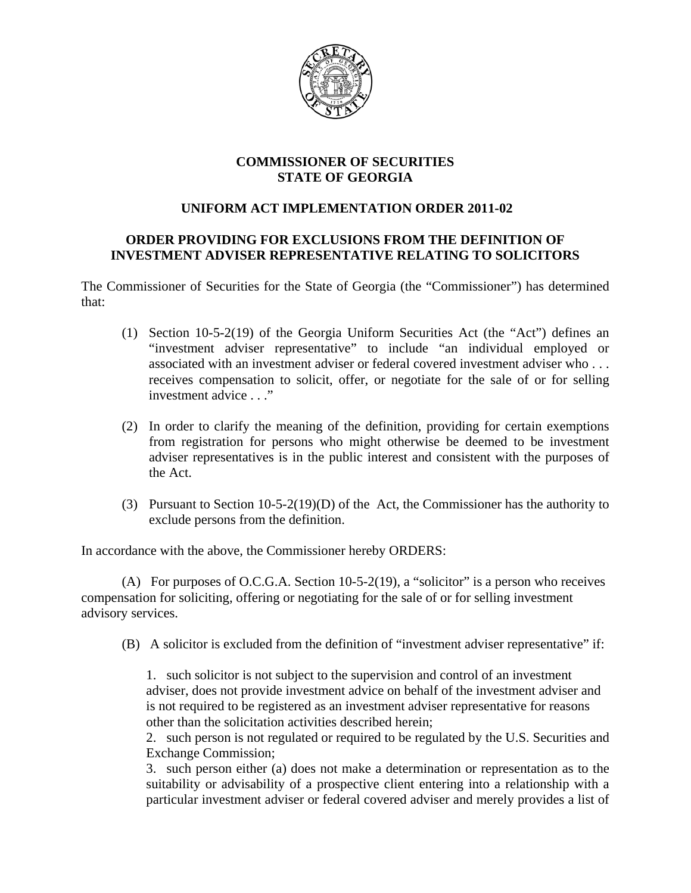

## **COMMISSIONER OF SECURITIES STATE OF GEORGIA**

## **UNIFORM ACT IMPLEMENTATION ORDER 2011-02**

## **ORDER PROVIDING FOR EXCLUSIONS FROM THE DEFINITION OF INVESTMENT ADVISER REPRESENTATIVE RELATING TO SOLICITORS**

The Commissioner of Securities for the State of Georgia (the "Commissioner") has determined that:

- (1) Section 10-5-2(19) of the Georgia Uniform Securities Act (the "Act") defines an "investment adviser representative" to include "an individual employed or associated with an investment adviser or federal covered investment adviser who . . . receives compensation to solicit, offer, or negotiate for the sale of or for selling investment advice . . ."
- (2) In order to clarify the meaning of the definition, providing for certain exemptions from registration for persons who might otherwise be deemed to be investment adviser representatives is in the public interest and consistent with the purposes of the Act.
- (3) Pursuant to Section 10-5-2(19)(D) of the Act, the Commissioner has the authority to exclude persons from the definition.

In accordance with the above, the Commissioner hereby ORDERS:

(A) For purposes of O.C.G.A. Section 10-5-2(19), a "solicitor" is a person who receives compensation for soliciting, offering or negotiating for the sale of or for selling investment advisory services.

(B) A solicitor is excluded from the definition of "investment adviser representative" if:

1. such solicitor is not subject to the supervision and control of an investment adviser, does not provide investment advice on behalf of the investment adviser and is not required to be registered as an investment adviser representative for reasons other than the solicitation activities described herein;

2. such person is not regulated or required to be regulated by the U.S. Securities and Exchange Commission;

3. such person either (a) does not make a determination or representation as to the suitability or advisability of a prospective client entering into a relationship with a particular investment adviser or federal covered adviser and merely provides a list of